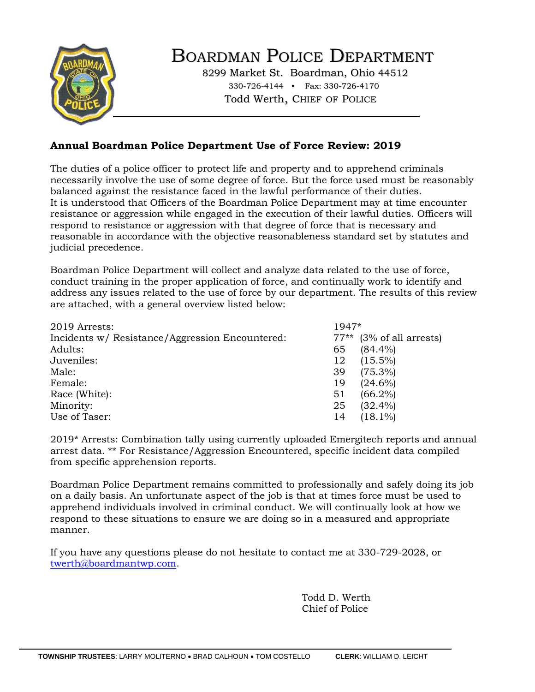

# BOARDMAN POLICE DEPARTMENT

8299 Market St. Boardman, Ohio 44512 330-726-4144 • Fax: 330-726-4170 Todd Werth, CHIEF OF POLICE

### **Annual Boardman Police Department Use of Force Review: 2019**

The duties of a police officer to protect life and property and to apprehend criminals necessarily involve the use of some degree of force. But the force used must be reasonably balanced against the resistance faced in the lawful performance of their duties. It is understood that Officers of the Boardman Police Department may at time encounter resistance or aggression while engaged in the execution of their lawful duties. Officers will respond to resistance or aggression with that degree of force that is necessary and reasonable in accordance with the objective reasonableness standard set by statutes and judicial precedence.

Boardman Police Department will collect and analyze data related to the use of force, conduct training in the proper application of force, and continually work to identify and address any issues related to the use of force by our department. The results of this review are attached, with a general overview listed below:

| 2019 Arrests:                                   | 1947* |                            |
|-------------------------------------------------|-------|----------------------------|
| Incidents w/ Resistance/Aggression Encountered: |       | $77**$ (3% of all arrests) |
| Adults:                                         | 65    | $(84.4\%)$                 |
| Juveniles:                                      | 12    | $(15.5\%)$                 |
| Male:                                           | 39    | $(75.3\%)$                 |
| Female:                                         | 19    | $(24.6\%)$                 |
| Race (White):                                   | 51    | $(66.2\%)$                 |
| Minority:                                       | 25    | $(32.4\%)$                 |
| Use of Taser:                                   | 14    | $(18.1\%)$                 |

2019\* Arrests: Combination tally using currently uploaded Emergitech reports and annual arrest data. \*\* For Resistance/Aggression Encountered, specific incident data compiled from specific apprehension reports.

Boardman Police Department remains committed to professionally and safely doing its job on a daily basis. An unfortunate aspect of the job is that at times force must be used to apprehend individuals involved in criminal conduct. We will continually look at how we respond to these situations to ensure we are doing so in a measured and appropriate manner.

If you have any questions please do not hesitate to contact me at 330-729-2028, or [twerth@boardmantwp.com.](mailto:twerth@boardmantwp.com)

> Todd D. Werth Chief of Police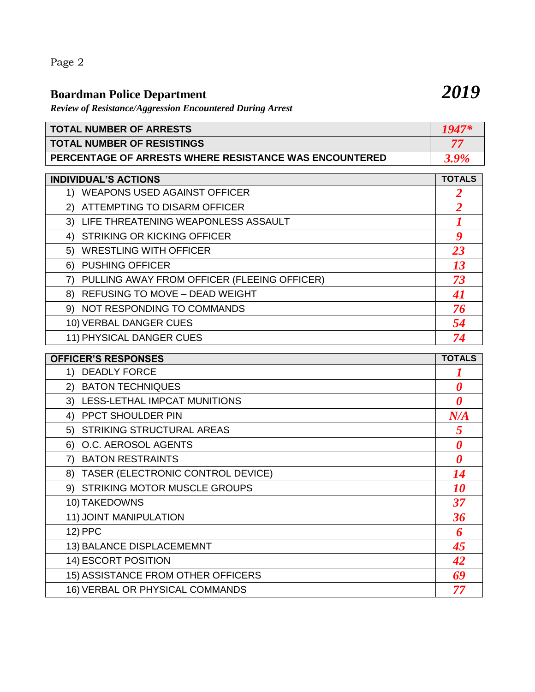Page 2

# **Boardman Police Department** *2019*

*Review of Resistance/Aggression Encountered During Arrest* 

| <b>TOTAL NUMBER OF ARRESTS</b>                                | $1947^{\circ}$ |
|---------------------------------------------------------------|----------------|
| <b>TOTAL NUMBER OF RESISTINGS</b>                             | 75             |
| <b>PERCENTAGE OF ARRESTS WHERE RESISTANCE WAS ENCOUNTERED</b> | <b>20%</b>     |

| <b>INDIVIDUAL'S ACTIONS</b>                       | <b>TOTALS</b>  |
|---------------------------------------------------|----------------|
| <b>WEAPONS USED AGAINST OFFICER</b><br>1)         |                |
| ATTEMPTING TO DISARM OFFICER<br>2)                | $\overline{2}$ |
| 3) LIFE THREATENING WEAPONLESS ASSAULT            |                |
| <b>STRIKING OR KICKING OFFICER</b><br>4)          | 9              |
| <b>WRESTLING WITH OFFICER</b><br>5)               | 23             |
| <b>PUSHING OFFICER</b><br>6)                      | <b>13</b>      |
| PULLING AWAY FROM OFFICER (FLEEING OFFICER)<br>7) | 73             |
| 8) REFUSING TO MOVE - DEAD WEIGHT                 | 41             |
| 9) NOT RESPONDING TO COMMANDS                     | 76             |
| 10) VERBAL DANGER CUES                            | 54             |
| 11) PHYSICAL DANGER CUES                          | 74             |

| <b>OFFICER'S RESPONSES</b>              | <b>TOTALS</b>         |
|-----------------------------------------|-----------------------|
| 1) DEADLY FORCE                         |                       |
| 2) BATON TECHNIQUES                     | 0                     |
| 3) LESS-LETHAL IMPCAT MUNITIONS         | 0                     |
| PPCT SHOULDER PIN<br>4)                 | N/A                   |
| 5) STRIKING STRUCTURAL AREAS            | 5                     |
| O.C. AEROSOL AGENTS<br>6)               | 0                     |
| <b>BATON RESTRAINTS</b><br>7)           | $\boldsymbol{\theta}$ |
| TASER (ELECTRONIC CONTROL DEVICE)<br>8) | 14                    |
| 9) STRIKING MOTOR MUSCLE GROUPS         | <i><b>10</b></i>      |
| 10) TAKEDOWNS                           | 37                    |
| 11) JOINT MANIPULATION                  | 36                    |
| 12) PPC                                 | 6                     |
| 13) BALANCE DISPLACEMEMNT               | 45                    |
| 14) ESCORT POSITION                     | 42                    |
| 15) ASSISTANCE FROM OTHER OFFICERS      | 69                    |
| 16) VERBAL OR PHYSICAL COMMANDS         | 77                    |